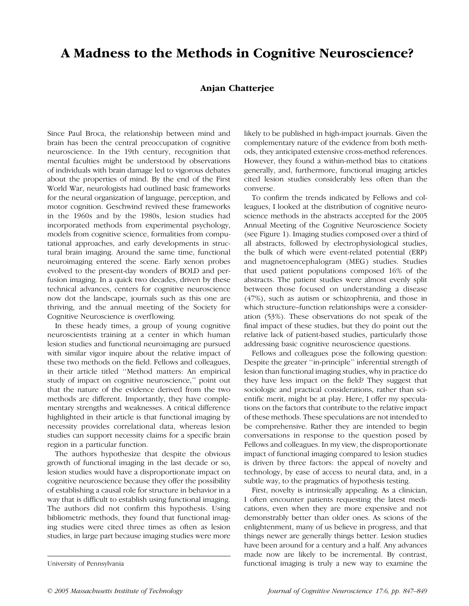## A Madness to the Methods in Cognitive Neuroscience?

## **Anjan Chatterjee**

Since Paul Broca, the relationship between mind and brain has been the central preoccupation of cognitive neuroscience. In the 19th century, recognition that mental faculties might be understood by observations of individuals with brain damage led to vigorous debates about the properties of mind. By the end of the First World War, neurologists had outlined basic frameworks for the neural organization of language, perception, and motor cognition. Geschwind revived these frameworks in the 1960s and by the 1980s, lesion studies had incorporated methods from experimental psychology, models from cognitive science, formalities from computational approaches, and early developments in structural brain imaging. Around the same time, functional neuroimaging entered the scene. Early xenon probes evolved to the present-day wonders of BOLD and perfusion imaging. In a quick two decades, driven by these technical advances, centers for cognitive neuroscience now dot the landscape, journals such as this one are thriving, and the annual meeting of the Society for Cognitive Neuroscience is overflowing.

In these heady times, a group of young cognitive neuroscientists training at a center in which human lesion studies and functional neuroimaging are pursued with similar vigor inquire about the relative impact of these two methods on the field. Fellows and colleagues, in their article titled "Method matters: An empirical study of impact on cognitive neuroscience," point out that the nature of the evidence derived from the two methods are different. Importantly, they have complementary strengths and weaknesses. A critical difference highlighted in their article is that functional imaging by necessity provides correlational data, whereas lesion studies can support necessity claims for a specific brain region in a particular function.

The authors hypothesize that despite the obvious growth of functional imaging in the last decade or so, lesion studies would have a disproportionate impact on cognitive neuroscience because they offer the possibility of establishing a causal role for structure in behavior in a way that is difficult to establish using functional imaging. The authors did not confirm this hypothesis. Using bibliometric methods, they found that functional imaging studies were cited three times as often as lesion studies, in large part because imaging studies were more

To confirm the trends indicated by Fellows and colleagues, I looked at the distribution of cognitive neuroscience methods in the abstracts accepted for the 2005 Annual Meeting of the Cognitive Neuroscience Society (see Figure 1). Imaging studies composed over a third of all abstracts, followed by electrophysiological studies, the bulk of which were event-related potential (ERP) and magnetoencephalogram (MEG) studies. Studies that used patient populations composed 16% of the abstracts. The patient studies were almost evenly split between those focused on understanding a disease (47%), such as autism or schizophrenia, and those in which structure–function relationships were a consideration (53%). These observations do not speak of the final impact of these studies, but they do point out the relative lack of patient-based studies, particularly those addressing basic cognitive neuroscience questions.

Fellows and colleagues pose the following question: Despite the greater "in-principle" inferential strength of lesion than functional imaging studies, why in practice do they have less impact on the field? They suggest that sociologic and practical considerations, rather than scientific merit, might be at play. Here, I offer my speculations on the factors that contribute to the relative impact of these methods. These speculations are not intended to be comprehensive. Rather they are intended to begin conversations in response to the question posed by Fellows and colleagues. In my view, the disproportionate impact of functional imaging compared to lesion studies is driven by three factors: the appeal of novelty and technology, by ease of access to neural data, and, in a subtle way, to the pragmatics of hypothesis testing.

First, novelty is intrinsically appealing. As a clinician, I often encounter patients requesting the latest medications, even when they are more expensive and not demonstrably better than older ones. As scions of the enlightenment, many of us believe in progress, and that things newer are generally things better. Lesion studies have been around for a century and a half. Any advances made now are likely to be incremental. By contrast, functional imaging is truly a new way to examine the

likely to be published in high-impact journals. Given the complementary nature of the evidence from both methods, they anticipated extensive cross-method references. However, they found a within-method bias to citations generally, and, furthermore, functional imaging articles cited lesion studies considerably less often than the converse.

University of Pennsylvania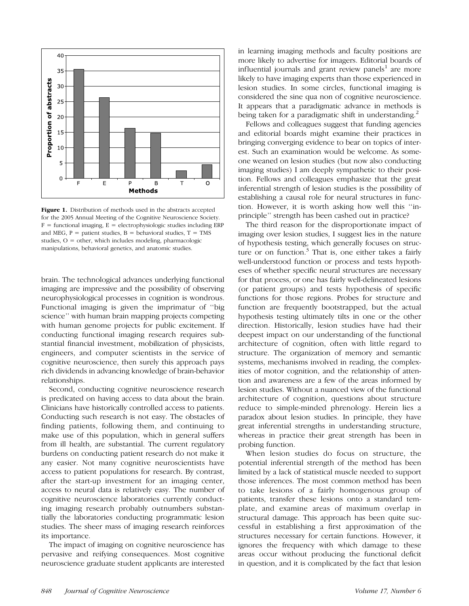

Figure 1. Distribution of methods used in the abstracts accepted for the 2005 Annual Meeting of the Cognitive Neuroscience Society.  $F =$  functional imaging,  $E =$  electrophysiologic studies including ERP and MEG,  $P =$  patient studies,  $B =$  behavioral studies,  $T = TMS$ studies,  $O =$  other, which includes modeling, pharmacologic manipulations, behavioral genetics, and anatomic studies.

brain. The technological advances underlying functional imaging are impressive and the possibility of observing neurophysiological processes in cognition is wondrous. Functional imaging is given the imprimatur of "big science" with human brain mapping projects competing with human genome projects for public excitement. If conducting functional imaging research requires substantial financial investment, mobilization of physicists, engineers, and computer scientists in the service of cognitive neuroscience, then surely this approach pays rich dividends in advancing knowledge of brain-behavior relationships.

Second, conducting cognitive neuroscience research is predicated on having access to data about the brain. Clinicians have historically controlled access to patients. Conducting such research is not easy. The obstacles of finding patients, following them, and continuing to make use of this population, which in general suffers from ill health, are substantial. The current regulatory burdens on conducting patient research do not make it any easier. Not many cognitive neuroscientists have access to patient populations for research. By contrast, after the start-up investment for an imaging center, access to neural data is relatively easy. The number of cognitive neuroscience laboratories currently conducting imaging research probably outnumbers substantially the laboratories conducting programmatic lesion studies. The sheer mass of imaging research reinforces its importance.

The impact of imaging on cognitive neuroscience has pervasive and reifying consequences. Most cognitive neuroscience graduate student applicants are interested in learning imaging methods and faculty positions are more likely to advertise for imagers. Editorial boards of influential journals and grant review panels<sup>1</sup> are more likely to have imaging experts than those experienced in lesion studies. In some circles, functional imaging is considered the sine qua non of cognitive neuroscience. It appears that a paradigmatic advance in methods is being taken for a paradigmatic shift in understanding.

Fellows and colleagues suggest that funding agencies and editorial boards might examine their practices in bringing converging evidence to bear on topics of interest. Such an examination would be welcome. As someone weaned on lesion studies (but now also conducting imaging studies) I am deeply sympathetic to their position. Fellows and colleagues emphasize that the great inferential strength of lesion studies is the possibility of establishing a causal role for neural structures in function. However, it is worth asking how well this "inprinciple" strength has been cashed out in practice?

The third reason for the disproportionate impact of imaging over lesion studies, I suggest lies in the nature of hypothesis testing, which generally focuses on structure or on function.<sup>3</sup> That is, one either takes a fairly well-understood function or process and tests hypotheses of whether specific neural structures are necessary for that process, or one has fairly well-delineated lesions (or patient groups) and tests hypothesis of specific functions for those regions. Probes for structure and function are frequently bootstrapped, but the actual hypothesis testing ultimately tilts in one or the other direction. Historically, lesion studies have had their deepest impact on our understanding of the functional architecture of cognition, often with little regard to structure. The organization of memory and semantic systems, mechanisms involved in reading, the complexities of motor cognition, and the relationship of attention and awareness are a few of the areas informed by lesion studies. Without a nuanced view of the functional architecture of cognition, questions about structure reduce to simple-minded phrenology. Herein lies a paradox about lesion studies. In principle, they have great inferential strengths in understanding structure, whereas in practice their great strength has been in probing function.

When lesion studies do focus on structure, the potential inferential strength of the method has been limited by a lack of statistical muscle needed to support those inferences. The most common method has been to take lesions of a fairly homogenous group of patients, transfer these lesions onto a standard template, and examine areas of maximum overlap in structural damage. This approach has been quite successful in establishing a first approximation of the structures necessary for certain functions. However, it ignores the frequency with which damage to these areas occur without producing the functional deficit in question, and it is complicated by the fact that lesion